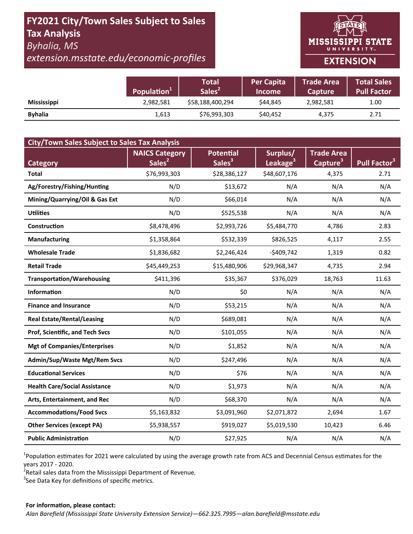## FY2021 City/Town Sales Subject to Sales **Tax Analysis Byhalia, MS**

extension.msstate.edu/economic-profiles

# **MISSISSIPPI STATE** UNIVERSITY<sub>W</sub> **EXTENSION**

|                    | Population <sup>1</sup> | <b>Total</b><br>Sales <sup>2</sup> | <b>Per Capita</b><br><b>Income</b> | <b>Trade Area</b><br><b>Capture</b> | <b>Total Sales</b><br>Pull Factor |
|--------------------|-------------------------|------------------------------------|------------------------------------|-------------------------------------|-----------------------------------|
| <b>Mississippi</b> | 2,982,581               | \$58,188,400,294                   | \$44.845                           | 2,982,581                           | 1.00                              |
| <b>Byhalia</b>     | 1,613                   | \$76,993,303                       | \$40,452                           | 4,375                               | 2.71                              |

| <b>City/Town Sales Subject to Sales Tax Analysis</b> |                                             |                                        |                                  |                                           |                          |  |  |  |  |
|------------------------------------------------------|---------------------------------------------|----------------------------------------|----------------------------------|-------------------------------------------|--------------------------|--|--|--|--|
| Category                                             | <b>NAICS Category</b><br>Sales <sup>2</sup> | <b>Potential</b><br>Sales <sup>3</sup> | Surplus/<br>Leakage <sup>3</sup> | <b>Trade Area</b><br>Capture <sup>3</sup> | Pull Factor <sup>3</sup> |  |  |  |  |
| <b>Total</b>                                         | \$76,993,303                                | \$28,386,127                           | \$48,607,176                     | 4,375                                     | 2.71                     |  |  |  |  |
| Ag/Forestry/Fishing/Hunting                          | N/D                                         | \$13,672                               | N/A                              | N/A                                       | N/A                      |  |  |  |  |
| Mining/Quarrying/Oil & Gas Ext                       | N/D                                         | \$66,014                               | N/A                              | N/A                                       | N/A                      |  |  |  |  |
| <b>Utilities</b>                                     | N/D                                         | \$525,538                              | N/A                              | N/A                                       | N/A                      |  |  |  |  |
| Construction                                         | \$8,478,496                                 | \$2,993,726                            | \$5,484,770                      | 4,786                                     | 2.83                     |  |  |  |  |
| <b>Manufacturing</b>                                 | \$1,358,864                                 | \$532,339                              | \$826,525                        | 4,117                                     | 2.55                     |  |  |  |  |
| <b>Wholesale Trade</b>                               | \$1,836,682                                 | \$2,246,424                            | $-$409,742$                      | 1,319                                     | 0.82                     |  |  |  |  |
| <b>Retail Trade</b>                                  | \$45,449,253                                | \$15,480,906                           | \$29,968,347                     | 4,735                                     | 2.94                     |  |  |  |  |
| <b>Transportation/Warehousing</b>                    | \$411,396                                   | \$35,367                               | \$376,029                        | 18,763                                    | 11.63                    |  |  |  |  |
| <b>Information</b>                                   | N/D                                         | \$0                                    | N/A                              | N/A                                       | N/A                      |  |  |  |  |
| <b>Finance and Insurance</b>                         | N/D                                         | \$53,215                               | N/A                              | N/A                                       | N/A                      |  |  |  |  |
| <b>Real Estate/Rental/Leasing</b>                    | N/D                                         | \$689,081                              | N/A                              | N/A                                       | N/A                      |  |  |  |  |
| Prof, Scientific, and Tech Svcs                      | N/D                                         | \$101,055                              | N/A                              | N/A                                       | N/A                      |  |  |  |  |
| <b>Mgt of Companies/Enterprises</b>                  | N/D                                         | \$1,852                                | N/A                              | N/A                                       | N/A                      |  |  |  |  |
| Admin/Sup/Waste Mgt/Rem Svcs                         | N/D                                         | \$247,496                              | N/A                              | N/A                                       | N/A                      |  |  |  |  |
| <b>Educational Services</b>                          | N/D                                         | \$76                                   | N/A                              | N/A                                       | N/A                      |  |  |  |  |
| <b>Health Care/Social Assistance</b>                 | N/D                                         | \$1,973                                | N/A                              | N/A                                       | N/A                      |  |  |  |  |
| Arts, Entertainment, and Rec                         | N/D                                         | \$68,370                               | N/A                              | N/A                                       | N/A                      |  |  |  |  |
| <b>Accommodations/Food Svcs</b>                      | \$5,163,832                                 | \$3,091,960                            | \$2,071,872                      | 2,694                                     | 1.67                     |  |  |  |  |
| <b>Other Services (except PA)</b>                    | \$5,938,557                                 | \$919,027                              | \$5,019,530                      | 10,423                                    | 6.46                     |  |  |  |  |
| <b>Public Administration</b>                         | N/D                                         | \$27,925                               | N/A                              | N/A                                       | N/A                      |  |  |  |  |

<sup>1</sup>Population estimates for 2021 were calculated by using the average growth rate from ACS and Decennial Census estimates for the years 2017 - 2020.

<sup>2</sup>Retail sales data from the Mississippi Department of Revenue.

<sup>3</sup>See Data Key for definitions of specific metrics.

#### For information, please contact: Alan Barefield (Mississippi State University Extension Service)-662.325.7995-alan.barefield@msstate.edu